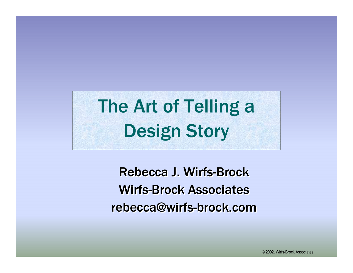# The Art of Telling a **Design Story**

**Rebecca J. Wirfs-Brock Wirfs-Brock Associates** rebecca@wirfs-brock.com

© 2002, Wirfs-Brock Associates.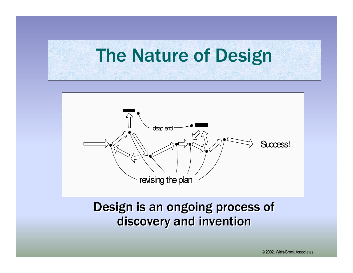# **The Nature of Design**



#### Design is an ongoing process of discovery and invention

© 2002, Wirfs-Brock Associates.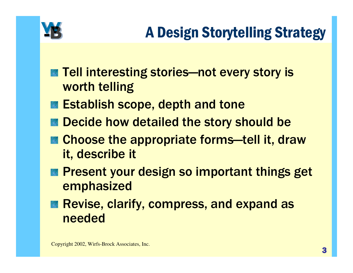

- Tell interesting stories-not every story is worth telling
- **Establish scope, depth and tone**
- Decide how detailed the story should be
- **EX Choose the appropriate forms—tell it, draw** it, describe it
- Present your design so important things get emphasized
- Revise, clarify, compress, and expand as needed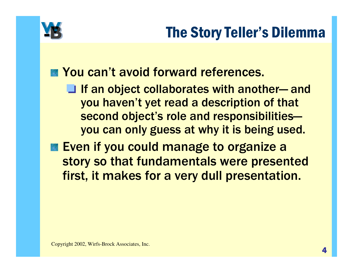

#### **EXAMPLE You can't avoid forward references.**

 $\Box$  If an object collaborates with another— and you haven't yet read a description of that second object's role and responsibilitiesyou can only guess at why it is being used.

**Even if you could manage to organize a** story so that fundamentals were presented first, it makes for a very dull presentation.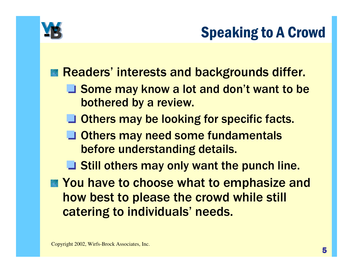

## **Speaking to A Crowd**

#### **Example 18 Readers' interests and backgrounds differ.**

- Some may know a lot and don't want to be bothered by a review.
- Others may be looking for specific facts.
- Others may need some fundamentals before understanding details.
- Still others may only want the punch line.
- You have to choose what to emphasize and how best to please the crowd while stil catering to individuals' needs.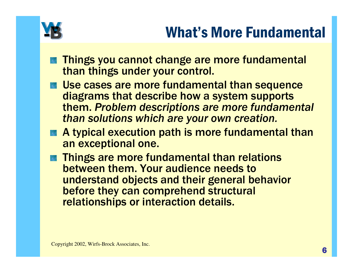

## **What's More Fundamental**

- Things you cannot change are more fundamental than things under your control.
- Use cases are more fundamental than sequence diagrams that describe how a system supports them. Problem descriptions are more fundamental than solutions which are your own creation.
- A typical execution path is more fundamental than an exceptional one.
- Things are more fundamental than relations between them. Your audience needs to understand objects and their general behavior before they can comprehend structural relationships or interaction details.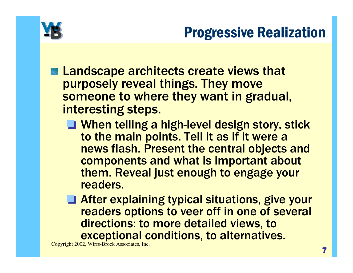

#### **Progressive Realization**

- **Example 20 Increase Service Service Service Service Service Service Service Service Service Service Service Service Service Service Service Service Service Service Service Service Service Service Service Service Service S** purposely reveal things. They move someone to where they want in gradual, interesting steps.
	- **U** When telling a high-level design story, stick to the main points. Tell it as if it were a news flash. Present the central objects and components and what is important about them. Reveal just enough to engage your readers.
	- After explaining typical situations, give your readers options to veer off in one of several directions: to more detailed views, to exceptional conditions, to alternatives.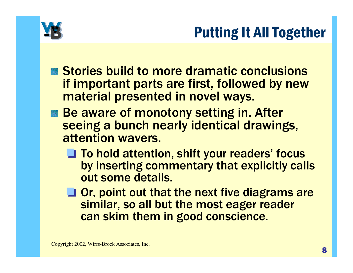

#### **Putting It All Together**

- Stories build to more dramatic conclusions if important parts are first, followed by new material presented in novel ways.
- Be aware of monotony setting in. After seeing a bunch nearly identical drawings, attention wavers.
	- **J** To hold attention, shift your readers' focus by inserting commentary that explicitly calls out some details.
	- $\Box$  Or, point out that the next five diagrams are similar, so all but the most eager reader can skim them in good conscience.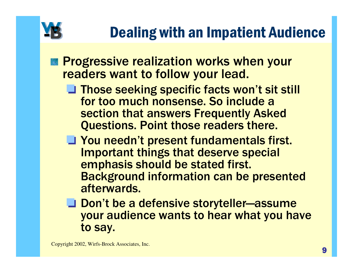

## **Dealing with an Impatient Audience**

- **Progressive realization works when your** readers want to follow your lead.
	- Those seeking specific facts won't sit still for too much nonsense. So include a section that answers Frequently Asked **Questions. Point those readers there.**
	- **J** You needn't present fundamentals first. **Important things that deserve special** emphasis should be stated first. **Background information can be presented** afterwards.
	- Don't be a defensive storyteller—assume your audience wants to hear what you have to say.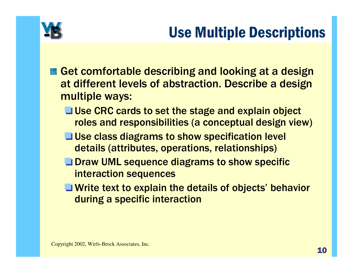

## **Use Multiple Descriptions**

- Get comfortable describing and looking at a design at different levels of abstraction. Describe a design multiple ways:
	- **Use CRC cards to set the stage and explain object** roles and responsibilities (a conceptual design view)
	- **Use class diagrams to show specification level** details (attributes, operations, relationships)
	- **OF Draw UML sequence diagrams to show specific** interaction sequences
	- **T** Write text to explain the details of objects' behavior during a specific interaction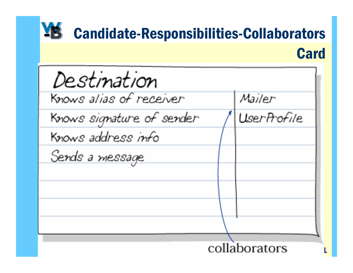#### YB **Candidate-Responsibilities-Collaborators Card**

| Destination               |  |             |  |  |
|---------------------------|--|-------------|--|--|
| Knows alias of receiver   |  | Mailer      |  |  |
| Knows signature of sender |  | UserProfile |  |  |
| Knows address info        |  |             |  |  |
| Sends a message           |  |             |  |  |
|                           |  |             |  |  |
|                           |  |             |  |  |
|                           |  |             |  |  |
|                           |  |             |  |  |
| collaborators             |  |             |  |  |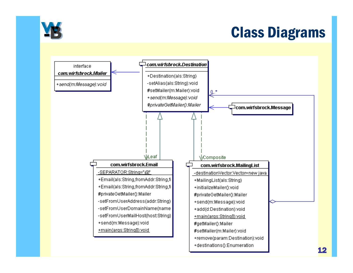

#### **Class Diagrams**

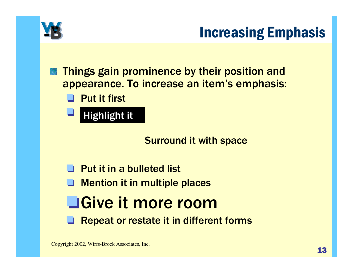

#### **Increasing Emphasis**

Things gain prominence by their position and appearance. To increase an item's emphasis:

 $\blacksquare$  Put it first

**Highlight it** 

**Surround it with space** 

 $\Box$  Put it in a bulleted list **Nention it in multiple places Sive it more room** ■ Repeat or restate it in different forms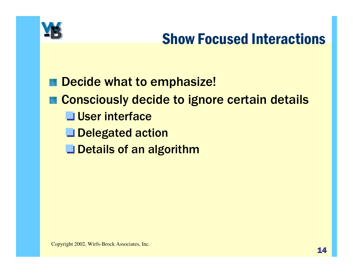

#### **Show Focused Interactions**

Decide what to emphasize! **Consciously decide to ignore certain details** User interface Delegated action Details of an algorithm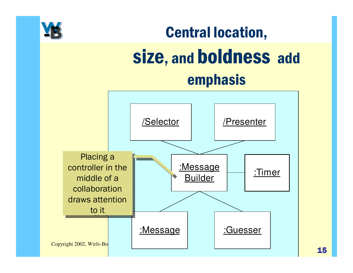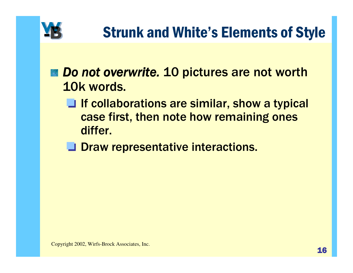

- Do not overwrite. 10 pictures are not worth 10k words.
	- $\Box$  If collaborations are similar, show a typical case first, then note how remaining ones differ.
	- **J** Draw representative interactions.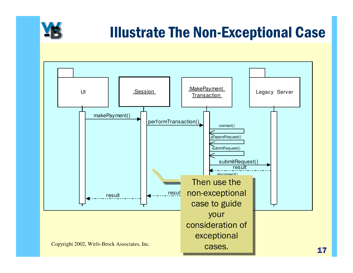

#### Illustrate The Non-Exceptional Case

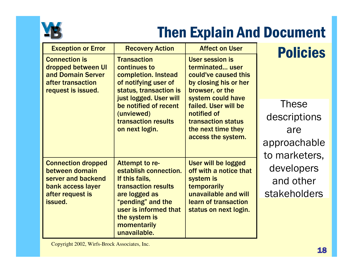

## **Then Explain And Document**

| <b>Exception or Error</b>                                                                                  | <b>Recovery Action</b>                                                                                                                | <b>Affect on User</b>                                                                                                              | <b>Policies</b> |
|------------------------------------------------------------------------------------------------------------|---------------------------------------------------------------------------------------------------------------------------------------|------------------------------------------------------------------------------------------------------------------------------------|-----------------|
| <b>Connection is</b><br>dropped between UI<br>and Domain Server<br>after transaction<br>request is issued. | <b>Transaction</b><br>continues to<br>completion. Instead<br>of notifying user of<br>status, transaction is<br>just logged. User will | <b>User session is</b><br>terminated user<br>could've caused this<br>by closing his or her<br>browser, or the<br>system could have |                 |
|                                                                                                            | be notified of recent<br>(unviewed)<br><b>transaction results</b><br>on next login.                                                   | failed. User will be                                                                                                               | <b>These</b>    |
|                                                                                                            |                                                                                                                                       | notified of<br><b>transaction status</b>                                                                                           | descriptions    |
|                                                                                                            |                                                                                                                                       | the next time they<br>access the system.                                                                                           | are             |
|                                                                                                            |                                                                                                                                       |                                                                                                                                    | approachable    |
|                                                                                                            |                                                                                                                                       |                                                                                                                                    | to marketers,   |
| <b>Connection dropped</b><br>between domain                                                                | Attempt to re-<br>establish connection.                                                                                               | User will be logged<br>off with a notice that                                                                                      | developers      |
| server and backend<br>If this fails,<br>transaction results<br>bank access layer                           |                                                                                                                                       | system is<br>temporarily                                                                                                           | and other       |
| after request is                                                                                           | are logged as<br>"pending" and the<br>user is informed that<br>the system is<br>momentarily<br>unavailable.                           | unavailable and will<br>learn of transaction                                                                                       | stakeholders    |
| issued.                                                                                                    |                                                                                                                                       | status on next login.                                                                                                              |                 |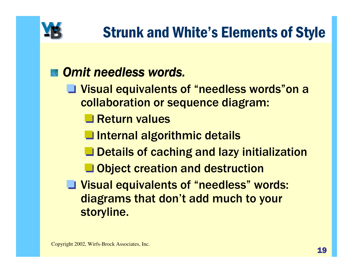

#### Omit needless words.

- Visual equivalents of "needless words"on a collaboration or sequence diagram:
	- Return values
	- Internal algorithmic details
	- Details of caching and lazy initialization
	- **L** Object creation and destruction
- Visual equivalents of "needless" words: diagrams that don't add much to your storyline.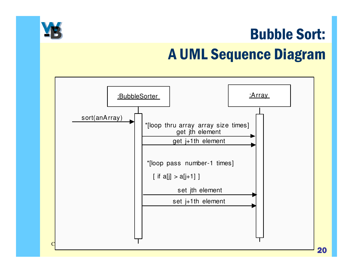

# **Bubble Sort: A UML Sequence Diagram**

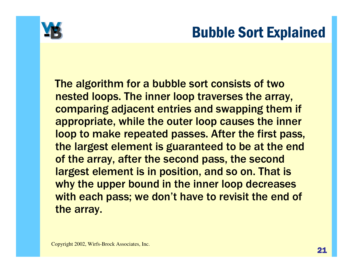

#### **Bubble Sort Explained**

The algorithm for a bubble sort consists of two nested loops. The inner loop traverses the array, comparing adjacent entries and swapping them if appropriate, while the outer loop causes the inner loop to make repeated passes. After the first pass, the largest element is guaranteed to be at the end of the array, after the second pass, the second largest element is in position, and so on. That is why the upper bound in the inner loop decreases with each pass; we don't have to revisit the end of the array.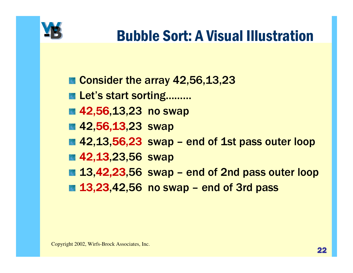

#### **Bubble Sort: A Visual Illustration**

- Consider the array 42,56,13,23
- Let's start sorting.........
- 42,56,13,23 no swap
- 42,56,13,23 swap
- 42,13,56,23 swap end of 1st pass outer loop
- 42,13,23,56 swap
- 13,42,23,56 swap end of 2nd pass outer loop
- 13,23,42,56 no swap end of 3rd pass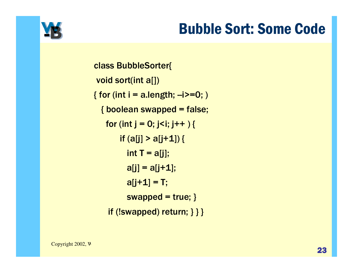## **Bubble Sort: Some Code**



**class BubbleSorter{** void sort(int a[]) { for (int i = a.length;  $-i$ ) = 0; ) { boolean swapped = false; for (int  $j = 0$ ;  $j < i$ ;  $j + +$  ) { if  $(a[j] > a[j+1])$  { int  $T = a[j];$  $a[j] = a[j+1];$  $a[j+1] = T;$ swapped =  $true;$  } if  $(!swapped)$  return;  $\}$  }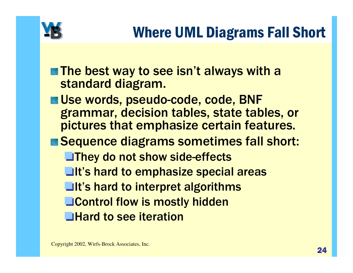

- **The best way to see isn't always with a** standard diagram.
- Use words, pseudo-code, code, BNF grammar, decision tables, state tables, or pictures that emphasize certain features.
- Sequence diagrams sometimes fall short: **They do not show side-effects Lit's hard to emphasize special areas ■It's hard to interpret algorithms Letta Control flow is mostly hidden Hard to see iteration**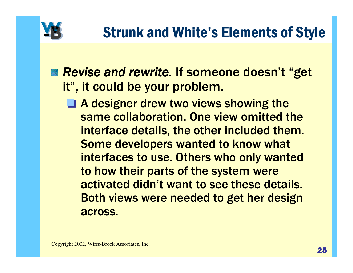

- Revise and rewrite. If someone doesn't "get it", it could be your problem.
	- $\Box$  A designer drew two views showing the same collaboration. One view omitted the interface details, the other included them. Some developers wanted to know what interfaces to use. Others who only wanted to how their parts of the system were activated didn't want to see these details. Both views were needed to get her design across.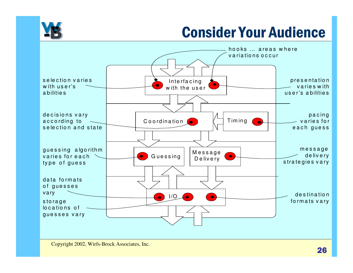

## **Consider Your Audience**

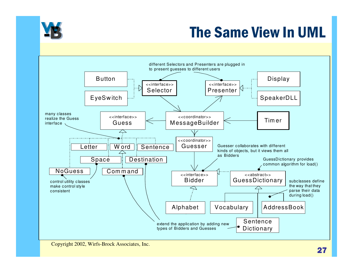

#### The Same View In UML

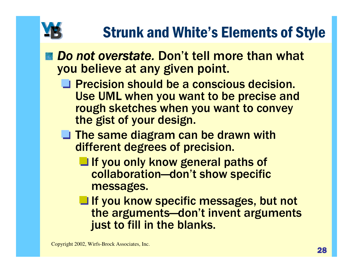# **Strunk and White's Elements of Style**

- Do not overstate. Don't tell more than what you believe at any given point.
	- **The Precision should be a conscious decision.** Use UML when you want to be precise and rough sketches when you want to convey the gist of your design.
	- $\Box$  The same diagram can be drawn with different degrees of precision.
		- If you only know general paths of collaboration-don't show specific messages.
		- If you know specific messages, but not the arguments-don't invent arguments just to fill in the blanks.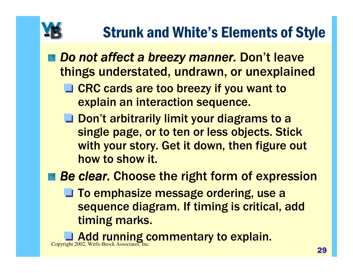# **Strunk and White's Elements of Style**

- Do not affect a breezy manner. Don't leave things understated, undrawn, or unexplained
	- **Solution 1.5 The COVEY COVEY 15 YOU WANT TO SET OF ST** explain an interaction sequence.
	- **J** Don't arbitrarily limit your diagrams to a single page, or to ten or less objects. Stick with your story. Get it down, then figure out how to show it.
- **Be clear. Choose the right form of expression** 
	- **To emphasize message ordering, use a** sequence diagram. If timing is critical, add timing marks.

**Add running commentary to explain.** Copyright 2002, Wirfs-Brock Associates, Inc.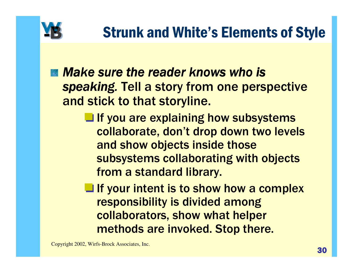

- Make sure the reader knows who is speaking. Tell a story from one perspective and stick to that storyline.
	- **Let If you are explaining how subsystems** collaborate, don't drop down two levels and show objects inside those subsystems collaborating with objects from a standard library.
	- $\blacksquare$  If your intent is to show how a complex responsibility is divided among collaborators, show what helper methods are invoked. Stop there.